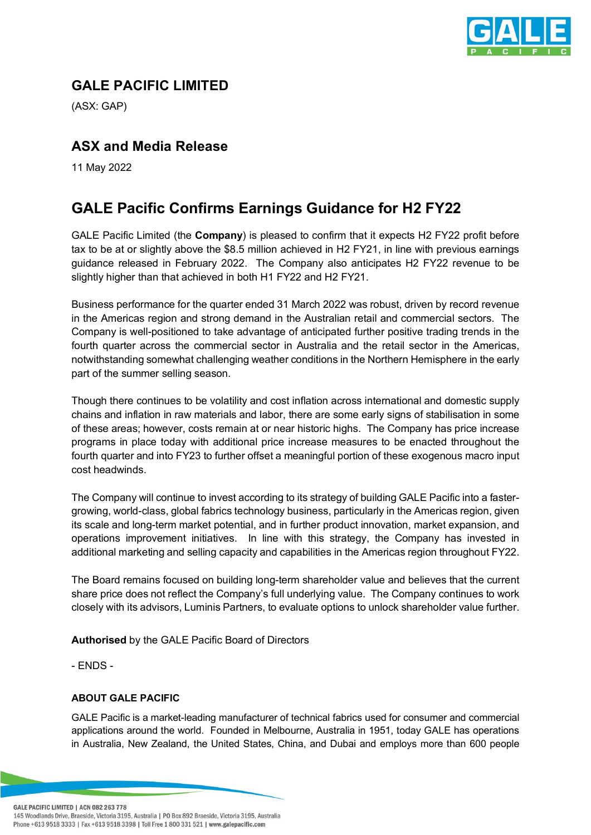

## **GALE PACIFIC LIMITED**

(ASX: GAP)

## **ASX and Media Release**

11 May 2022

## **GALE Pacific Confirms Earnings Guidance for H2 FY22**

GALE Pacific Limited (the **Company**) is pleased to confirm that it expects H2 FY22 profit before tax to be at or slightly above the \$8.5 million achieved in H2 FY21, in line with previous earnings guidance released in February 2022. The Company also anticipates H2 FY22 revenue to be slightly higher than that achieved in both H1 FY22 and H2 FY21.

Business performance for the quarter ended 31 March 2022 was robust, driven by record revenue in the Americas region and strong demand in the Australian retail and commercial sectors. The Company is well-positioned to take advantage of anticipated further positive trading trends in the fourth quarter across the commercial sector in Australia and the retail sector in the Americas, notwithstanding somewhat challenging weather conditions in the Northern Hemisphere in the early part of the summer selling season.

Though there continues to be volatility and cost inflation across international and domestic supply chains and inflation in raw materials and labor, there are some early signs of stabilisation in some of these areas; however, costs remain at or near historic highs. The Company has price increase programs in place today with additional price increase measures to be enacted throughout the fourth quarter and into FY23 to further offset a meaningful portion of these exogenous macro input cost headwinds.

The Company will continue to invest according to its strategy of building GALE Pacific into a fastergrowing, world-class, global fabrics technology business, particularly in the Americas region, given its scale and long-term market potential, and in further product innovation, market expansion, and operations improvement initiatives. In line with this strategy, the Company has invested in additional marketing and selling capacity and capabilities in the Americas region throughout FY22.

The Board remains focused on building long-term shareholder value and believes that the current share price does not reflect the Company's full underlying value. The Company continues to work closely with its advisors, Luminis Partners, to evaluate options to unlock shareholder value further.

**Authorised** by the GALE Pacific Board of Directors

- ENDS -

## **ABOUT GALE PACIFIC**

GALE Pacific is a market-leading manufacturer of technical fabrics used for consumer and commercial applications around the world. Founded in Melbourne, Australia in 1951, today GALE has operations in Australia, New Zealand, the United States, China, and Dubai and employs more than 600 people

**GALE PACIFIC LIMITED | ACN 082 263 778** 145 Woodlands Drive, Braeside, Victoria 3195, Australia | PO Box 892 Braeside, Victoria 3195, Australia Phone +613 9518 3333 | Fax +613 9518 3398 | Toll Free 1 800 331 521 | www.galepacific.com